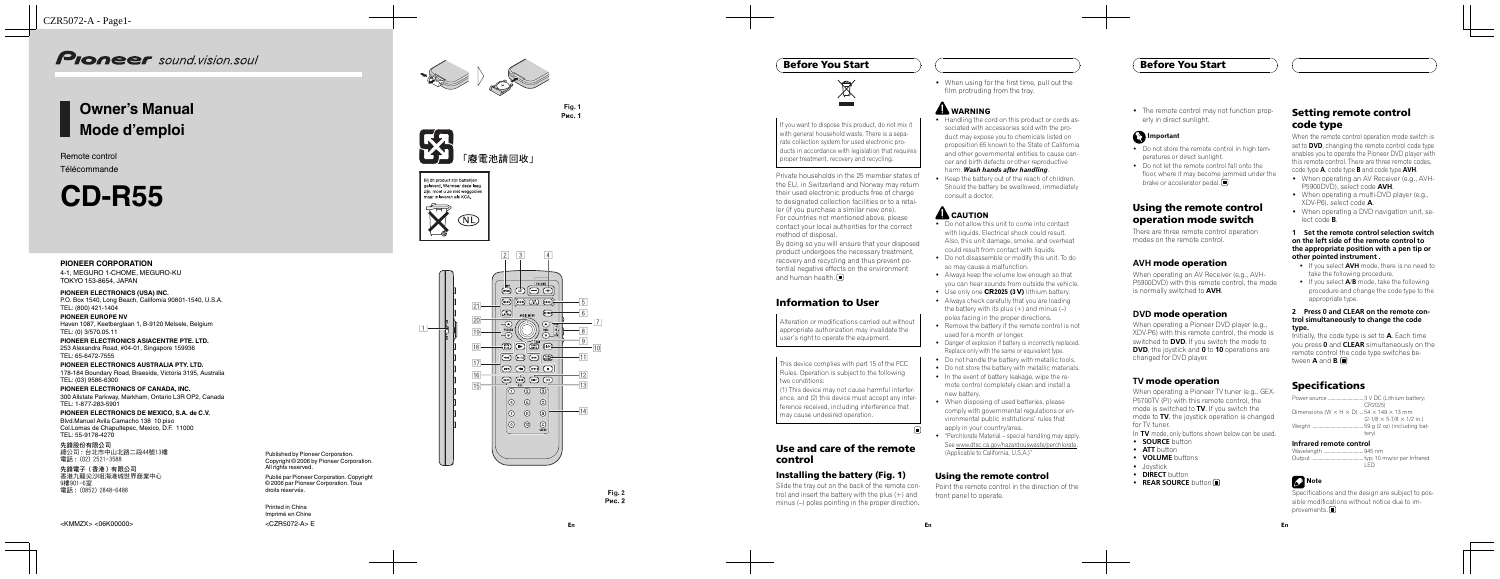# Owner 's Manual Mode d 'emploi

Remote control Télécommande

# CD-R55

#### PIONEER CORPORATION

4-1, MEGURO 1-CHOME, MEGURO-KU TOKYO 153-8654, JAPAN

PIONEER ELECTRONICS (USA) INC. P.O. Box 1540, Long Beach, California 90801-1540, U.S.A. TEL: (800) 421-1404

PIONEER EUROPE NV Haven 1087, Keetberglaan 1, B-9120 Melsele, Belgium TEL: (0) 3/570.05.11

PIONEER ELECTRONICS ASIACENTRE PTE. LTD. 253 Alexandra Road, #04-01, Singapore 159936 TEL: 65-6472-7555

先鋒電子(香港)有限公司 香港九龍尖沙咀海港城世界商業中心 9 樓901-6 室 電 話 : (0852) 2848-6488

PIONEER ELECTRONICS AUSTRALIA PTY. LTD. 178-184 Boundary Road, Braeside, Victoria 3195, Australia TEL: (03) 9586-6300

PIONEER ELECTRONICS OF CANADA, INC. 300 Allstate Parkway, Markham, Ontario L3R OP2, Canada TEL: 1-877-283-5901

PIONEER ELECTRONICS DE MEXICO, S.A. de C.V. Blvd.Manuel Avila Camacho 138 10 piso Col.Lomas de Chapultepec, Mexico, D.F. 11000 TEL: 55-9178-4270

先鋒股份有限公司 總公司 : 台北市中山 北 路 二 段44 號13 樓 電 話 : (02) 2521-3588

By doing so you will ensure that your disposed product undergoes the necessary treatment, recovery and recycling and thus prevent potential negative effects on the environment and human health.  $\Box$ 

Published by Pioneer Corporation. Copyright © 2006 by Pioneer Corporation. All rights reserved.

Publié par Pioneer Corporation. Copyright © 2006 par Pioneer Corporation. Tous droits réservés.

Printed in China Imprimé en Chine



рис. 1







**Fi g. 2**

• When using for the first time, pull out the film protruding from the tray.

# **AL WARNING**

If you want to dispose this product, do not mix it with general household waste. There is a separate collection system for used electronic products in accordance with legislation that requires proper treatment, recovery and recycling.

• Handling the cord on this product or cords associated with accessories sold with the product may expose you to chemicals listed on proposition 65 known to the State of California and other governmental entities to cause cancer and birth defects or other reproductive

#### harm. **Wash hands after handling**.

• Keep the battery out of the reach of children. Should the battery be swallowed, immediately consult a doctor.

# **AL** CAUTION

Private households in the 25 member states of the EU, in Switzerland and Norway may return their used electronic products free of charge to designated collection facilities or to a retailer (if you purchase a similar new one). For countries not mentioned above, please

contact your local authorities for the correct method of disposal.

# Information to User

Alteration or modifications carried out without appropriate authorization may invalidate the user 's right to operate the equipment.

- Do not allow this unit to come into contact with liquids. Electrical shock could result. Also, this unit damage, smoke, and overheat could result from contact with liquids.
- ! Do not disassemble or modify this unit. To do so may cause a malfunction.
- Always keep the volume low enough so that you can hear sounds from outside the vehicle.
- . Use only one CR2025 (3 V) lithium battery.
- Always check carefully that you are loading the battery with its plus (+) and minus ( – ) poles facing in the proper directions.
- Remove the battery if the remote control is not used for a month or longer.
- Danger of explosion if battery is incorrectly replaced. Replace only with the same or equivalent type.
- Do not handle the battery with metallic tools.
- . Do not store the battery with metallic materials.
- In the event of battery leakage, wipe the remote control completely clean and install a new battery.
- When disposing of used batteries, please comply with governmental regulations or environmental public institutions' rules that apply in your country/area.
- "Perchlorate Material special handling may apply. See www.dtsc.ca.gov/hazardouswaste/perchlorate. (Applicable to California, U.S.A.) "

This device complies with part 15 of the FCC Rules. Operation is subject to the following two conditions:

• The remote control may not function properly in direct sunlight.

#### **C**Important

- Do not store the remote control in high temperatures or direct sunlight.
- Do not let the remote control fall onto the floor, where it may become jammed under the brake or accelerator pedal.

(1) This device may not cause harmful interference, and (2) this device must accept any interference received, including interference that may cause undesired operation.

 $\Box$ 

When operating an AV Receiver (e.g., AVH-P5900DVD) with this remote control, the mode is normally switched to AVH.

# Use and care of the remote control

# Installing the battery (Fig. 1)

Slide the tray out on the back of the remote control and insert the battery with the plus (+) and minus ( –) poles pointing in the proper direction .

When the remote control operation mode switch is set to **DVD**, changing the remote control code type enables you to operate the Pioneer DVD player with this remote control. There are three remote codes, code type A, code type B and code type AVH .

- . When operating an AV Receiver (e.g., AVH-P5900DVD), select code AVH.
- When operating a multi-DVD player (e.g., XDV-P6), select code A .
- When operating a DVD navigation unit, select code B.

- If you select **AVH** mode, there is no need to take the following procedure.
- If you select  $A/B$  mode, take the following procedure and change the code type to the appropriate type.

Initially, the code type is set to A. Each time you press **0** and **CLEAR** simultaneously on the remote control the code type switches between  $A$  and  $B.\blacksquare$ 

Specifications and the design are subject to possible modifications without notice due to improvements.<sup>1</sup>

#### Using the remote control

Point the remote control in the direction of the front panel to operate.

#### Before You Start



## Using the remote control operation mode switch

There are three remote control operation modes on the remote control.

#### AVH mode operation

#### DVD mode operation

When operating a Pioneer DVD player (e.g., XDV-P6) with this remote control, the mode is switched to **DVD**. If you switch the mode to DVD, the joystick and 0 to 10 operations are changed for DVD player.

#### TV mode operation

When operating a Pioneer TV tuner (e.g., GEX-P5700TV (P)) with this remote control, the mode is switched to **TV**. If you switch the mode to **TV**, the joystick operation is changed for TV tuner.

In  $TV$  mode, only buttons shown below can be used.

- **SOURCE** button
- **ATT** button
- VOLUME buttons
- Joystick
- **DIRECT** button
- REAR SOURCE button

#### Setting remote control code type

#### 1 Set the remote control selection switch on the left side of the remote control to the appropriate position with a pen tip or other pointed instrument .

#### 2 Press 0 and CLEAR on the remote control simultaneously to change the code type.

# Specifications

|                                                                      | CR2025)                               |
|----------------------------------------------------------------------|---------------------------------------|
| Dimensions (W $\times$ H $\times$ D)  54 $\times$ 149 $\times$ 13 mm |                                       |
|                                                                      | $(2-1/8 \times 5-7/8 \times 1/2$ in.) |
|                                                                      |                                       |
|                                                                      | terv)                                 |
|                                                                      |                                       |

#### Infrared remote control

| I ED. |
|-------|

# **B** Note

# Before You Start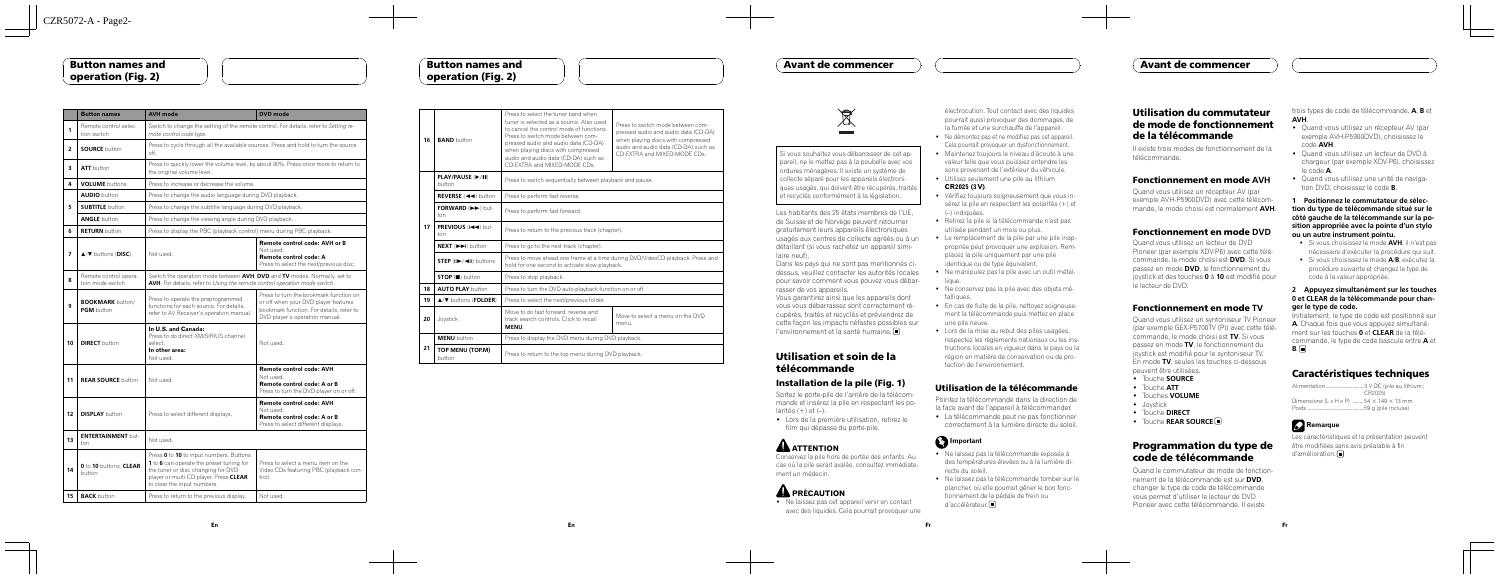|                | <b>Button names</b>                       | <b>AVH</b> mode                                                                                                                                                                                    | <b>DVD</b> mode                                                                                                                                              |
|----------------|-------------------------------------------|----------------------------------------------------------------------------------------------------------------------------------------------------------------------------------------------------|--------------------------------------------------------------------------------------------------------------------------------------------------------------|
| 1              | Remote control selec-<br>tion switch      | Switch to change the setting of the remote control. For details, refer to Setting re-<br>mote control code type.                                                                                   |                                                                                                                                                              |
| $\overline{2}$ | <b>SOURCE</b> button                      | Press to cycle through all the available sources. Press and hold to turn the source<br>off.                                                                                                        |                                                                                                                                                              |
| 3              | <b>ATT</b> button                         | Press to quickly lower the volume level, by about 90%. Press once more to return to<br>the original volume level.                                                                                  |                                                                                                                                                              |
| 4              | <b>VOLUME</b> buttons                     | Press to increase or decrease the volume.                                                                                                                                                          |                                                                                                                                                              |
|                | <b>AUDIO</b> button                       | Press to change the audio language during DVD playback.                                                                                                                                            |                                                                                                                                                              |
| 5              | <b>SUBTITLE</b> button                    | Press to change the subtitle language during DVD playback.                                                                                                                                         |                                                                                                                                                              |
|                | <b>ANGLE</b> button                       | Press to change the viewing angle during DVD playback.                                                                                                                                             |                                                                                                                                                              |
| 6              | <b>RETURN</b> button                      | Press to display the PBC (playback control) menu during PBC playback.                                                                                                                              |                                                                                                                                                              |
| 7              | $\triangle$ / $\nabla$ buttons (DISC)     | Not used.                                                                                                                                                                                          | Remote control code: AVH or B<br>Not used.<br>Remote control code: A<br>Press to select the next/previous disc.                                              |
| 8              | Remote control opera-<br>tion mode switch | Switch the operation mode between AVH, DVD and TV modes. Normally, set to<br>AVH. For details, refer to Using the remote control operation mode switch.                                            |                                                                                                                                                              |
| 9              | <b>BOOKMARK</b> button/<br>PGM button     | Press to operate the preprogrammed<br>functions for each source. For details.<br>refer to AV Receiver's operation manual.                                                                          | Press to turn the bookmark function on<br>or off when your DVD player features<br>bookmark function. For details, refer to<br>DVD player's operation manual. |
| 10             | <b>DIRECT</b> button                      | In U.S. and Canada:<br>Press to do direct XM/SIRIUS channel<br>select.<br>In other area:<br>Not used.                                                                                              | Not used.                                                                                                                                                    |
| 11             | <b>REAR SOURCE button</b>                 | Not used.                                                                                                                                                                                          | Remote control code: AVH<br>Not used.<br>Remote control code: A or B<br>Press to turn the DVD player on or off.                                              |
| 12             | <b>DISPLAY</b> button                     | Press to select different displays.                                                                                                                                                                | Remote control code: AVH<br>Not used.<br>Remote control code: A or B<br>Press to select different displays.                                                  |
| 13             | <b>ENTERTAINMENT but-</b><br>ton          | Not used.                                                                                                                                                                                          |                                                                                                                                                              |
| 14             | 0 to 10 buttons. CLEAR<br>button          | Press 0 to 10 to input numbers. Buttons<br>1 to 6 can operate the preset tuning for<br>the tuner or disc changing for DVD<br>player or multi-CD player. Press CLEAR<br>to clear the input numbers. | Press to select a menu item on the<br>Video CDs featuring PBC (playback con-<br>$trol$ .                                                                     |
| 15             | <b>BACK</b> button                        | Press to return to the previous display.                                                                                                                                                           | Not used.                                                                                                                                                    |

#### Button names and operation (Fig. 2)

Sortez le porte-pile de l'arrière de la télécommande et insérez la pile en respectant les po $larités (+) et (-).$ • Lors de la première utilisation, retirez le

**AN** ATTENTION Conservez la pile hors de portée des enfants. Au cas où la pile serait avalée, consultez immédiatement un médecin.



électrocution. Tout contact avec des liquides pourrait aussi provoquer des dommages, de la fumée et une surchauffe de l'appareil. • Ne démontez pas et ne modifiez pas cet appareil.

| 16 | <b>BAND</b> button                                                      | Press to select the tuner band when<br>tuner is selected as a source. Also used<br>to cancel the control mode of functions.<br>Press to switch mode between com-<br>pressed audio and audio data (CD-DA)<br>when playing discs with compressed<br>audio and audio data (CD-DA) such as<br>CD-EXTRA and MIXED-MODE CDs. | Press to switch mode between com-<br>pressed audio and audio data (CD-DA)<br>when playing discs with compressed<br>audio and audio data (CD-DA) such as<br>CD-EXTRA and MIXED-MODE CDs. |  |
|----|-------------------------------------------------------------------------|------------------------------------------------------------------------------------------------------------------------------------------------------------------------------------------------------------------------------------------------------------------------------------------------------------------------|-----------------------------------------------------------------------------------------------------------------------------------------------------------------------------------------|--|
|    | PLAY/PAUSE (▶/II)<br>button                                             | Press to switch sequentially between playback and pause.                                                                                                                                                                                                                                                               |                                                                                                                                                                                         |  |
|    | REVERSE (<Unition                                                       | Press to perform fast reverse.                                                                                                                                                                                                                                                                                         |                                                                                                                                                                                         |  |
|    | FORWARD (EX) but-<br>ton                                                | Press to perform fast forward.                                                                                                                                                                                                                                                                                         |                                                                                                                                                                                         |  |
| 17 | PREVIOUS (I-44) but-<br>ton                                             | Press to return to the previous track (chapter).                                                                                                                                                                                                                                                                       |                                                                                                                                                                                         |  |
|    | NEXT (DD) button                                                        | Press to go to the next track (chapter).                                                                                                                                                                                                                                                                               |                                                                                                                                                                                         |  |
|    | $STEP$ ( $II$ $\blacktriangleright$ / $\blacktriangleleft II$ ) buttons | Press to move ahead one frame at a time during DVD/VideoCD playback. Press and<br>hold for one second to activate slow playback.                                                                                                                                                                                       |                                                                                                                                                                                         |  |
|    | $STOP ( \blacksquare)$ button                                           | Press to stop playback.                                                                                                                                                                                                                                                                                                |                                                                                                                                                                                         |  |
| 18 | <b>AUTO PLAY button</b>                                                 | Press to turn the DVD auto-playback function on or off.                                                                                                                                                                                                                                                                |                                                                                                                                                                                         |  |
| 19 | $\triangle$ / $\nabla$ buttons (FOLDER)                                 | Press to select the next/previous folder.                                                                                                                                                                                                                                                                              |                                                                                                                                                                                         |  |
| 20 | Joystick                                                                | Move to do fast forward, reverse and<br>track search controls. Click to recall<br><b>MFNU</b>                                                                                                                                                                                                                          | Move to select a menu on the DVD<br>menu.                                                                                                                                               |  |
|    | <b>MENU</b> button                                                      | Press to display the DVD menu during DVD playback.                                                                                                                                                                                                                                                                     |                                                                                                                                                                                         |  |
| 21 | TOP MENU (TOP.M)<br>button                                              | Press to return to the top menu during DVD playback.                                                                                                                                                                                                                                                                   |                                                                                                                                                                                         |  |

• La télécommande peut ne pas fonctionner correctement à la lumière directe du soleil.

- ! Ne laissez pas la télécommande exposée à des températures élevées ou à la lumière directe du soleil.
- ! Ne laissez pas la télécommande tomber sur le plancher, où elle pourrait gêner le bon fonctionnement de la pédale de frein ou d'accélérateur.<sup>1</sup>

Quand vous utilisez un récepteur AV (par exemple AVH-P5900DVD) avec cette télécommande, le mode choisi est normalement **AVH**.

#### Button names and operation (Fig. 2)



Si vous souhaitez vous débarrasser de cet appareil, ne le mettez pas à la poubelle avec vos ordures ménagères. Il existe un système de collecte séparé pour les appareils électroniques usagés, qui doivent être récupérés, traités et recyclés conformément à la législation.

Les habitants des 25 états membres de l'UE, de Suisse et de Norvège peuvent retourner gratuitement leurs appareils électroniques usagés aux centres de collecte agréés ou à un détaillant (si vous rachetez un appareil simi-

- . Quand vous utilisez un récepteur AV (par exemple AVH-P5900DVD), choisissez le code AVH.
- Quand vous utilisez un lecteur de DVD à chargeur (par exemple XDV-P6), choisissez le code A.
- . Quand vous utilisez une unité de navigation DVD, choisissez le code B.

laire neuf).

Dans les pays qui ne sont pas mentionnés cidessus, veuillez contacter les autorités locales pour savoir comment vous pouvez vous débarrasser de vos appareils.

- . Si vous choisissez le mode AVH, il n'est pas nécessaire d'exécuter la procédure qui suit.
- Si vous choisissez le mode **A/B**, exécutez la procédure suivante et changez le type de code à la valeur appropriée.

Initialement, le type de code est positionné sur A. Chaque fois que vous appuyez simultanément sur les touches 0 et CLEAR de la télécommande, le type de code bascule entre A et  $B.\Box$ 

Vous garantirez ainsi que les appareils dont vous vous débarrassez sont correctement récupérés, traités et recyclés et préviendrez de cette façon les impacts néfastes possibles sur l'environnement et la santé humaine.

# Utilisation et soin de la télécommande

#### Installation de la pile (Fig. 1)

film qui dépasse du porte-pile.

#### **A** PRÉCAUTION

! Ne laissez pas cet appareil venir en contact avec des liquides. Cela pourrait provoquer une

- Cela pourrait provoquer un dysfonctionnement. ! Maintenez toujours le niveau d'écoute à une
- valeur telle que vous puissiez entendre les sons provenant de l'extérieur du véhicule.
- Utilisez seulement une pile au lithium CR2025 (3 V).
- Vérifiez toujours soigneusement que vous insérez la pile en respectant les polarités (+) et (–) indiquées.
- ! Retirez la pile si la télécommande n'est pas utilisée pendant un mois ou plus.
- Le remplacement de la pile par une pile inappropriée peut provoquer une explosion. Remplacez la pile uniquement par une pile identique ou de type équivalent.
- Ne manipulez pas la pile avec un outil métallique.
- ! Ne conservez pas la pile avec des objets métalliques.
- En cas de fuite de la pile, nettoyez soigneusement la télécommande puis mettez en place une pile neuve.
- Lors de la mise au rebut des piles usagées, respectez les règlements nationaux ou les instructions locales en vigueur dans le pays ou la région en matière de conservation ou de protection de l'environnement.

### Utilisation de la télécommande

Pointez la télécommande dans la direction de la face avant de l'appareil à télécommander.



#### Utilisation du commutateur de mode de fonctionnement de la télécommande

Il existe trois modes de fonctionnement de la télécommande.

#### Fonctionnement en mode AVH

#### Fonctionnement en mode DVD

Quand vous utilisez un lecteur de DVD Pioneer (par exemple XDV-P6) avec cette télécommande, le mode choisi est DVD. Si vous passez en mode **DVD**, le fonctionnement du joystick et des touches 0 à 10 est modifié pour le lecteur de DVD.

#### Fonctionnement en mode TV

Quand vous utilisez un syntoniseur TV Pioneer (par exemple GEX-P5700TV (P)) avec cette télécommande, le mode choisi est TV. Si vous passez en mode TV, le fonctionnement du joystick est modifié pour le syntoniseur TV. En mode TV, seules les touches ci-dessous peuvent être utilisées.

- **·** Touche **SOURCE**
- **•** Touche **ATT**
- $\bullet$  Touches VOLUME
- Jovstick
- **·** Touche **DIRECT**
- **Touche REAR SOURCE**

# Programmation du type de code de télécommande

Quand le commutateur de mode de fonctionnement de la télécommande est sur DVD, changer le type de code de télécommande vous permet d'utiliser le lecteur de DVD Pioneer avec cette télécommande. Il existe

trois types de code de télécommande, A, B et AVH.

#### 1 Positionnez le commutateur de sélection du type de télécommande situé sur le côté gauche de la télécommande sur la position appropriée avec la pointe d*'*un stylo ou un autre instrument pointu.

#### 2 Appuyez simultanément sur les touches 0 et CLEAR de la télécommande pour changer le type de code.

# Caractéristiques techniques

|  | CR2025)                                                              |
|--|----------------------------------------------------------------------|
|  | Dimensions ( $L \times H \times P$ )  54 $\times$ 149 $\times$ 13 mm |
|  |                                                                      |
|  |                                                                      |

# **B** Remarque

Les caractéristiques et la présentation peuvent être modifiées sans avis préalable à fin d'amélioration.<sup>1</sup>

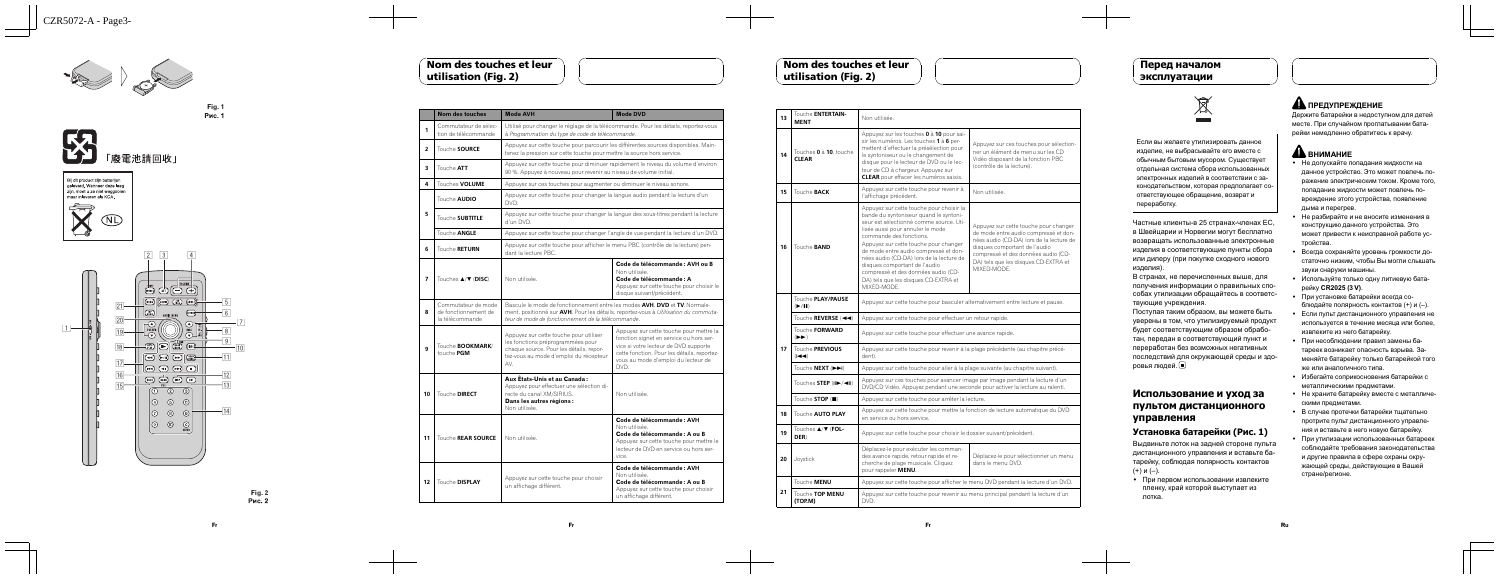

рис. 1



7

**Fi g. 2**

 $\overline{10}$ 

#### Fr

|                | <b>Nom des touches</b>                                         | <b>Mode AVH</b>                                                                                                                                                                                                         | <b>Mode DVD</b>                                                                                                                                                                                                           |  |
|----------------|----------------------------------------------------------------|-------------------------------------------------------------------------------------------------------------------------------------------------------------------------------------------------------------------------|---------------------------------------------------------------------------------------------------------------------------------------------------------------------------------------------------------------------------|--|
| 1              | Commutateur de sélec-<br>tion de télécommande                  | à Programmation du type de code de télécommande.                                                                                                                                                                        | Utilisé pour changer le réglage de la télécommande. Pour les détails, reportez-vous                                                                                                                                       |  |
| $\overline{2}$ | Touche SOURCE                                                  |                                                                                                                                                                                                                         | Appuyez sur cette touche pour parcourir les différentes sources disponibles. Main-<br>tenez la pression sur cette touche pour mettre la source hors service.                                                              |  |
| 3              | Touche ATT                                                     | 90 %. Appuyez à nouveau pour revenir au niveau de volume initial.                                                                                                                                                       | Appuyez sur cette touche pour diminuer rapidement le niveau du volume d'environ                                                                                                                                           |  |
| 4              | Touches <b>VOLUME</b>                                          | Appuyez sur ces touches pour augmenter ou diminuer le niveau sonore.                                                                                                                                                    |                                                                                                                                                                                                                           |  |
|                | Touche <b>AUDIO</b>                                            | Appuyez sur cette touche pour changer la langue audio pendant la lecture d'un<br>DVD.                                                                                                                                   |                                                                                                                                                                                                                           |  |
| 5              | Touche <b>SUBTITLE</b>                                         | Appuyez sur cette touche pour changer la langue des sous-titres pendant la lecture<br>d'un DVD.                                                                                                                         |                                                                                                                                                                                                                           |  |
|                | Touche <b>ANGLE</b>                                            |                                                                                                                                                                                                                         | Appuyez sur cette touche pour changer l'angle de vue pendant la lecture d'un DVD.                                                                                                                                         |  |
| 6              | Touche <b>RETURN</b>                                           | Appuyez sur cette touche pour afficher le menu PBC (contrôle de la lecture) pen-<br>dant la lecture PBC.                                                                                                                |                                                                                                                                                                                                                           |  |
| $\overline{ }$ | Touches <b>A/V (DISC)</b>                                      | Non utilisée.                                                                                                                                                                                                           | Code de télécommande : AVH ou B<br>Non utilisée.<br>Code de télécommande : A<br>Appuyez sur cette touche pour choisir le<br>disque suivant/précédent.                                                                     |  |
| 8              | Commutateur de mode<br>de fonctionnement de<br>la télécommande | Bascule le mode de fonctionnement entre les modes AVH. DVD et TV. Normale-<br>ment, positionné sur AVH. Pour les détails, reportez-vous à Utilisation du commuta-<br>teur de mode de fonctionnement de la télécommande. |                                                                                                                                                                                                                           |  |
| 9              | Touche <b>BOOKMARK/</b><br>touche PGM                          | Appuyez sur cette touche pour utiliser<br>les fonctions préprogrammées pour<br>chaque source. Pour les détails, repor-<br>tez-vous au mode d'emploi du récepteur<br>AV.                                                 | Appuyez sur cette touche pour mettre la<br>fonction signet en service ou hors ser-<br>vice si votre lecteur de DVD supporte<br>cette fonction. Pour les détails, reportez-<br>vous au mode d'emploi du lecteur de<br>DVD. |  |
| 10             | Touche DIRECT                                                  | Aux Etats-Unis et au Canada:<br>Appuvez pour effectuer une sélection di-<br>recte du canal XM/SIRIUS.<br>Dans les autres régions :<br>Non utilisée.                                                                     | Non utilisée.                                                                                                                                                                                                             |  |
| 11             | Touche REAR SOURCE                                             | Non utilisée.                                                                                                                                                                                                           | Code de télécommande : AVH<br>Non utilisée.<br>Code de télécommande : A ou B<br>Appuyez sur cette touche pour mettre le<br>lecteur de DVD en service ou hors ser-<br>vice.                                                |  |
| 12             | Touche DISPLAY                                                 | Appuyez sur cette touche pour choisir<br>un affichage différent.                                                                                                                                                        | Code de télécommande : AVH<br>Non utilisée.<br>Code de télécommande : A ou B<br>Appuyez sur cette touche pour choisir<br>un affichage différent.                                                                          |  |

#### Nom des touches et leur utilisation (Fig. 2)



• При первом использовании извлеките пленку , край которой выступает из лотка .

|                                                                                                                                   | Touche <b>ENTERTAIN-</b>                                        |                                                                                                                                                                                                                                                                                                                                                                                                                                                           |                                                                                                                                                                                                                                                           |
|-----------------------------------------------------------------------------------------------------------------------------------|-----------------------------------------------------------------|-----------------------------------------------------------------------------------------------------------------------------------------------------------------------------------------------------------------------------------------------------------------------------------------------------------------------------------------------------------------------------------------------------------------------------------------------------------|-----------------------------------------------------------------------------------------------------------------------------------------------------------------------------------------------------------------------------------------------------------|
| 13                                                                                                                                | <b>MENT</b>                                                     | Non utilisée.                                                                                                                                                                                                                                                                                                                                                                                                                                             |                                                                                                                                                                                                                                                           |
| 14                                                                                                                                | Touches 0 à 10, touche<br><b>CLEAR</b>                          | Appuyez sur les touches 0 à 10 pour sai-<br>sir les numéros. Les touches 1 à 6 per-<br>mettent d'effectuer la présélection pour<br>le syntoniseur ou le changement de<br>disque pour le lecteur de DVD ou le lec-<br>teur de CD à chargeur. Appuyez sur<br><b>CLEAR</b> pour effacer les numéros saisis.                                                                                                                                                  | Appuyez sur ces touches pour sélection-<br>ner un élément de menu sur les CD<br>Vidéo disposant de la fonction PBC<br>(contrôle de la lecture).                                                                                                           |
| 15                                                                                                                                | Touche <b>BACK</b>                                              | Appuyez sur cette touche pour revenir à<br>l'affichage précédent.                                                                                                                                                                                                                                                                                                                                                                                         | Non utilisée.                                                                                                                                                                                                                                             |
| 16                                                                                                                                | Touche <b>BAND</b>                                              | Appuyez sur cette touche pour choisir la<br>bande du syntoniseur quand le syntoni-<br>seur est sélectionné comme source. Uti-<br>lisée aussi pour annuler le mode<br>commande des fonctions.<br>Appuyez sur cette touche pour changer<br>de mode entre audio compressé et don-<br>nées audio (CD-DA) lors de la lecture de<br>disques comportant de l'audio<br>compressé et des données audio (CD-<br>DA) tels que les disques CD-EXTRA et<br>MIXED-MODE. | Appuyez sur cette touche pour changer<br>de mode entre audio compressé et don-<br>nées audio (CD-DA) lors de la lecture de<br>disques comportant de l'audio<br>compressé et des données audio (CD-<br>DA) tels que les disques CD-EXTRA et<br>MIXFD-MODE. |
|                                                                                                                                   | Touche PLAY/PAUSE<br>$($ $\blacktriangleright$ /III)            | Appuyez sur cette touche pour basculer alternativement entre lecture et pause.                                                                                                                                                                                                                                                                                                                                                                            |                                                                                                                                                                                                                                                           |
|                                                                                                                                   | Touche REVERSE (<<                                              | Appuyez sur cette touche pour effectuer un retour rapide.                                                                                                                                                                                                                                                                                                                                                                                                 |                                                                                                                                                                                                                                                           |
|                                                                                                                                   | Touche FORWARD<br>$( \blacktriangleright \blacktriangleright )$ | Appuyez sur cette touche pour effectuer une avance rapide.                                                                                                                                                                                                                                                                                                                                                                                                |                                                                                                                                                                                                                                                           |
| 17                                                                                                                                | Touche PREVIOUS<br>$(H \blacktriangleleft \blacktriangleleft)$  | Appuyez sur cette touche pour revenir à la plage précédente (au chapitre précé-<br>dent).                                                                                                                                                                                                                                                                                                                                                                 |                                                                                                                                                                                                                                                           |
|                                                                                                                                   | Touche NEXT (DDI)                                               | Appuyez sur cette touche pour aller à la plage suivante (au chapitre suivant).                                                                                                                                                                                                                                                                                                                                                                            |                                                                                                                                                                                                                                                           |
|                                                                                                                                   | Touches <b>STEP</b> (II►/◀II)                                   | Appuyez sur ces touches pour avancer image par image pendant la lecture d'un<br>DVD/CD Vidéo. Appuyez pendant une seconde pour activer la lecture au ralenti.                                                                                                                                                                                                                                                                                             |                                                                                                                                                                                                                                                           |
|                                                                                                                                   | Touche STOP (I)                                                 | Appuyez sur cette touche pour arrêter la lecture.                                                                                                                                                                                                                                                                                                                                                                                                         |                                                                                                                                                                                                                                                           |
| 18                                                                                                                                | Touche <b>AUTO PLAY</b>                                         | Appuyez sur cette touche pour mettre la fonction de lecture automatique du DVD<br>en service ou hors service.                                                                                                                                                                                                                                                                                                                                             |                                                                                                                                                                                                                                                           |
| 19                                                                                                                                | Touches <b>A/V (FOL-</b><br>DER)                                | Appuyez sur cette touche pour choisir le dossier suivant/précédent.                                                                                                                                                                                                                                                                                                                                                                                       |                                                                                                                                                                                                                                                           |
| 20                                                                                                                                | Joystick                                                        | Déplacez-le pour exécuter les comman-<br>des avance rapide, retour rapide et re-<br>cherche de plage musicale. Cliquez<br>pour rappeler MENU.                                                                                                                                                                                                                                                                                                             | Déplacez-le pour sélectionner un menu<br>dans le menu DVD.                                                                                                                                                                                                |
| Touche MENU<br>Appuyez sur cette touche pour afficher le menu DVD pendant la lecture d'un DVD.                                    |                                                                 |                                                                                                                                                                                                                                                                                                                                                                                                                                                           |                                                                                                                                                                                                                                                           |
| 21<br>Touche TOP MENU<br>Appuyez sur cette touche pour revenir au menu principal pendant la lecture d'un<br>(TOP.M)<br><b>DVD</b> |                                                                 |                                                                                                                                                                                                                                                                                                                                                                                                                                                           |                                                                                                                                                                                                                                                           |
|                                                                                                                                   |                                                                 |                                                                                                                                                                                                                                                                                                                                                                                                                                                           |                                                                                                                                                                                                                                                           |

- Не допускайте попадания жидкости на данное устройство . Это может повлечь по ражение электрическим током . Кроме того , попадание жидкости может повлечь по вреждение этого устройства , появление дыма и перегрев .
- Не разбирайте и не вносите изменения в конструкцию данного устройства . Это может привести к неисправной работе ус тройства .
- Всегда сохраняйте уровень громкости достаточно низким , чтобы Вы могли слышать звуки снаружи машины .
- Используйте только одну литиевую батарейку CR2025 (3 V) .
- При установке батарейки всегда соблюдайте полярность контактов (+) и ( –).
- Если пульт дистанционного управления не используется в течение месяца или более , извлеките из него батарейку .
- При несоблюдении правил замены батареек возникает опасность взрыва . За меняйте батарейку только батарейкой того же или аналогичного типа .
- Избегайте соприкосновения батарейки с металлическими предметами .
- Не храните батарейку вместе с металлическими предметами .
- В случае протечки батарейки тщательно протрите пульт дистанционного управле ния и вставьте в него новую батарейку .
- При утилизации использованных батареек соблюдайте требования законодательства и другие правила в сфере охраны окру жающей среды , действующие в Вашей стране /регионе .

#### Nom des touches et leur utilisation (Fig. 2)

Если вы желаете утилизировать данное изделие , не выбрасывайте его вместе с обычным бытовым мусором . Существует отдельная система сбора использованных электронных изделий в соответствии с за конодательством , которая предполагает со ответствующее обращение , возврат и переработку .

Чacтные клиенты - в 25 странах -членах ЕС , в Швейцарии и Норвегии могут бесплатно возвращать использованные электронные изделия в соответствующие пункты сбора или дилеру (при покупке сходного нового изделия).

В странах , не перечисленных выше , для получения информации о правильных спо собах утилизации обращайтесь в cooтветcтвующие учреждения.

Поступая таким образом , вы можете быть уверены в том , что утилизируемый продукт будет соответствующим образом обрабо тан , передан в соответствующий пункт и переработан без возможных негативных последствий для окружающей среды и здо ровья людей .

#### Использование и уход за пультом дистанционного управления

#### Установка батарейки (Рис. 1)

Выдвиньте лоток на задней стороне пульта дистанционного управления и вставьте ба тарейку , соблюдая полярность контактов (+) и ( –).

# ПРЕДУПРЕЖДЕНИЕ

Держите батарейки в недоступном для детей месте . При случайном проглатывании бата рейки немедленно обратитесь к врачу .

# $\mathbf{\Lambda}$  внимание

#### Перед началом эксплуатации